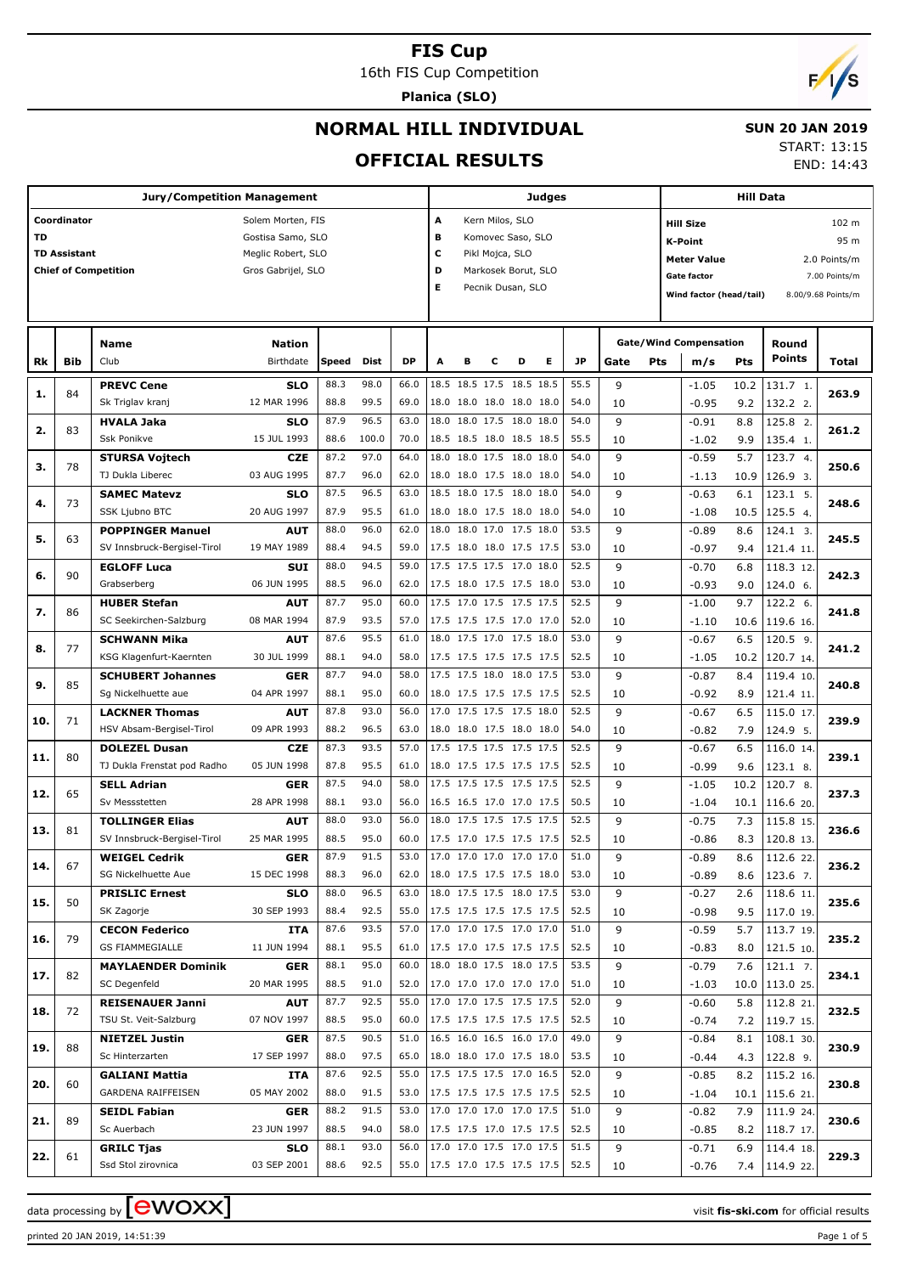16th FIS Cup Competition

**Planica (SLO)**

# $\mathbf{z}$

# **NORMAL HILL INDIVIDUAL**

#### **SUN 20 JAN 2019**

### **OFFICIAL RESULTS**

START: 13:15

END: 14:43

|     |                     | <b>Jury/Competition Management</b> |                    |            |       |           |                                                                |   |                          |   | <b>Judges</b> |           |             | <b>Hill Data</b>              |      |                 |                    |  |
|-----|---------------------|------------------------------------|--------------------|------------|-------|-----------|----------------------------------------------------------------|---|--------------------------|---|---------------|-----------|-------------|-------------------------------|------|-----------------|--------------------|--|
|     | Coordinator         |                                    | Solem Morten, FIS  |            |       |           | A                                                              |   | Kern Milos, SLO          |   |               |           |             | <b>Hill Size</b>              |      |                 | 102 m              |  |
| TD  |                     |                                    | Gostisa Samo, SLO  |            |       |           | в                                                              |   | Komovec Saso, SLO        |   |               |           |             | <b>K-Point</b>                |      |                 | 95 m               |  |
|     | <b>TD Assistant</b> |                                    | Meglic Robert, SLO |            |       |           | c                                                              |   | Pikl Mojca, SLO          |   |               |           |             | <b>Meter Value</b>            |      |                 | 2.0 Points/m       |  |
|     |                     | <b>Chief of Competition</b>        | Gros Gabrijel, SLO |            |       |           | D                                                              |   | Markosek Borut, SLO      |   |               |           |             | <b>Gate factor</b>            |      |                 | 7.00 Points/m      |  |
|     |                     |                                    |                    |            |       |           | Е                                                              |   | Pecnik Dusan, SLO        |   |               |           |             | Wind factor (head/tail)       |      |                 | 8.00/9.68 Points/m |  |
|     |                     |                                    |                    |            |       |           |                                                                |   |                          |   |               |           |             |                               |      |                 |                    |  |
|     |                     |                                    |                    |            |       |           |                                                                |   |                          |   |               |           |             |                               |      |                 |                    |  |
|     |                     | <b>Name</b>                        | Nation             |            |       |           |                                                                |   |                          |   |               |           |             | <b>Gate/Wind Compensation</b> |      | Round<br>Points |                    |  |
| Rk  | Bib                 | Club                               | Birthdate          | Speed Dist |       | <b>DP</b> | A                                                              | в | c                        | D | Е             | <b>JP</b> | Pts<br>Gate | m/s                           | Pts  |                 | Total              |  |
| 1.  | 84                  | <b>PREVC Cene</b>                  | <b>SLO</b>         | 88.3       | 98.0  | 66.0      |                                                                |   | 18.5 18.5 17.5 18.5 18.5 |   |               | 55.5      | 9           | $-1.05$                       | 10.2 | 131.7 1.        | 263.9              |  |
|     |                     | Sk Triglav kranj                   | 12 MAR 1996        | 88.8       | 99.5  | 69.0      | 18.0 18.0 18.0 18.0 18.0                                       |   |                          |   |               | 54.0      | 10          | $-0.95$                       | 9.2  | 132.2 2.        |                    |  |
| 2.  | 83                  | <b>HVALA Jaka</b>                  | <b>SLO</b>         | 87.9       | 96.5  | 63.0      | 18.0 18.0 17.5 18.0 18.0                                       |   |                          |   |               | 54.0      | 9           | $-0.91$                       | 8.8  | 125.8 2.        | 261.2              |  |
|     |                     | <b>Ssk Ponikve</b>                 | 15 JUL 1993        | 88.6       | 100.0 | 70.0      | 18.5 18.5 18.0 18.5 18.5                                       |   |                          |   |               | 55.5      | 10          | $-1.02$                       | 9.9  | 135.4 1.        |                    |  |
| з.  | 78                  | <b>STURSA Vojtech</b>              | <b>CZE</b>         | 87.2       | 97.0  | 64.0      | 18.0 18.0 17.5 18.0 18.0                                       |   |                          |   |               | 54.0      | 9           | $-0.59$                       | 5.7  | 123.7 4.        | 250.6              |  |
|     |                     | TJ Dukla Liberec                   | 03 AUG 1995        | 87.7       | 96.0  | 62.0      | 18.0 18.0 17.5 18.0 18.0                                       |   |                          |   |               | 54.0      | 10          | $-1.13$                       | 10.9 | 126.9 3.        |                    |  |
| 4.  | 73                  | <b>SAMEC Matevz</b>                | <b>SLO</b>         | 87.5       | 96.5  | 63.0      | 18.5 18.0 17.5 18.0 18.0                                       |   |                          |   |               | 54.0      | 9           | $-0.63$                       | 6.1  | 123.1 5.        | 248.6              |  |
|     |                     | <b>SSK Ljubno BTC</b>              | 20 AUG 1997        | 87.9       | 95.5  | 61.0      | 18.0 18.0 17.5 18.0 18.0                                       |   |                          |   |               | 54.0      | 10          | $-1.08$                       | 10.5 | 125.5 4.        |                    |  |
| 5.  | 63                  | <b>POPPINGER Manuel</b>            | <b>AUT</b>         | 88.0       | 96.0  | 62.0      | 18.0 18.0 17.0 17.5 18.0                                       |   |                          |   |               | 53.5      | 9           | $-0.89$                       | 8.6  | 124.1 3.        | 245.5              |  |
|     |                     | SV Innsbruck-Bergisel-Tirol        | 19 MAY 1989        | 88.4       | 94.5  | 59.0      | 17.5 18.0 18.0 17.5 17.5                                       |   |                          |   |               | 53.0      | 10          | $-0.97$                       | 9.4  | 121.4 11.       |                    |  |
| 6.  | 90                  | <b>EGLOFF Luca</b>                 | <b>SUI</b>         | 88.0       | 94.5  | 59.0      | 17.5 17.5 17.5 17.0 18.0                                       |   |                          |   |               | 52.5      | 9           | $-0.70$                       | 6.8  | 118.3 12.       | 242.3              |  |
|     |                     | Grabserberg                        | 06 JUN 1995        | 88.5       | 96.0  | 62.0      | 17.5 18.0 17.5 17.5 18.0                                       |   |                          |   |               | 53.0      | 10          | $-0.93$                       | 9.0  | 124.0 6.        |                    |  |
| 7.  | 86                  | <b>HUBER Stefan</b>                | <b>AUT</b>         | 87.7       | 95.0  | 60.0      | 17.5 17.0 17.5 17.5 17.5                                       |   |                          |   |               | 52.5      | 9           | $-1.00$                       | 9.7  | 122.2 6.        | 241.8              |  |
|     |                     | SC Seekirchen-Salzburg             | 08 MAR 1994        | 87.9       | 93.5  | 57.0      | 17.5 17.5 17.5 17.0 17.0                                       |   |                          |   |               | 52.0      | 10          | $-1.10$                       | 10.6 | 119.6 16.       |                    |  |
| 8.  | 77                  | <b>SCHWANN Mika</b>                | <b>AUT</b>         | 87.6       | 95.5  | 61.0      | 18.0 17.5 17.0 17.5 18.0                                       |   |                          |   |               | 53.0      | 9           | $-0.67$                       | 6.5  | 120.5 9.        | 241.2              |  |
|     |                     | KSG Klagenfurt-Kaernten            | 30 JUL 1999        | 88.1       | 94.0  | 58.0      | 17.5 17.5 17.5 17.5 17.5                                       |   |                          |   |               | 52.5      | 10          | $-1.05$                       | 10.2 | 120.7 14.       |                    |  |
| 9.  | 85                  | <b>SCHUBERT Johannes</b>           | <b>GER</b>         | 87.7       | 94.0  | 58.0      | 17.5 17.5 18.0 18.0 17.5                                       |   |                          |   |               | 53.0      | 9           | $-0.87$                       | 8.4  | 119.4 10.       | 240.8              |  |
|     |                     | Sg Nickelhuette aue                | 04 APR 1997        | 88.1       | 95.0  | 60.0      | 18.0 17.5 17.5 17.5 17.5                                       |   |                          |   |               | 52.5      | 10          | $-0.92$                       | 8.9  | 121.4 11.       |                    |  |
| 10. | 71                  | <b>LACKNER Thomas</b>              | <b>AUT</b>         | 87.8       | 93.0  | 56.0      | 17.0 17.5 17.5 17.5 18.0                                       |   |                          |   |               | 52.5      | 9           | -0.67                         | 6.5  | 115.0 17.       | 239.9              |  |
|     |                     | HSV Absam-Bergisel-Tirol           | 09 APR 1993        | 88.2       | 96.5  | 63.0      | 18.0 18.0 17.5 18.0 18.0                                       |   |                          |   |               | 54.0      | 10          | $-0.82$                       | 7.9  | 124.9 5.        |                    |  |
| 11. | 80                  | <b>DOLEZEL Dusan</b>               | <b>CZE</b>         | 87.3       | 93.5  | 57.0      | 17.5 17.5 17.5 17.5 17.5                                       |   |                          |   |               | 52.5      | 9           | $-0.67$                       | 6.5  | 116.0 14.       | 239.1              |  |
|     |                     | TJ Dukla Frenstat pod Radho        | 05 JUN 1998        | 87.8       | 95.5  | 61.0      | 18.0 17.5 17.5 17.5 17.5                                       |   |                          |   |               | 52.5      | 10          | $-0.99$                       | 9.6  | 123.1 8.        |                    |  |
| 12. | 65                  | <b>SELL Adrian</b>                 | <b>GER</b>         | 87.5       | 94.0  | 58.0      | 17.5 17.5 17.5 17.5 17.5                                       |   |                          |   |               | 52.5      | 9           | $-1.05$                       | 10.2 | 120.7 8.        | 237.3              |  |
|     |                     | Sv Messstetten                     | 28 APR 1998        | 88.1       | 93.0  | 56.0      | 16.5 16.5 17.0 17.0 17.5                                       |   |                          |   |               | 50.5      | 10          | $-1.04$                       | 10.1 | 116.6 20.       |                    |  |
| 13. | 81                  | <b>TOLLINGER Elias</b>             | <b>AUT</b>         | 88.0       | 93.0  | 56.0      | 18.0 17.5 17.5 17.5 17.5                                       |   |                          |   |               | 52.5      | 9           | $-0.75$                       | 7.3  | 115.8 15.       | 236.6              |  |
|     |                     | SV Innsbruck-Bergisel-Tirol        | 25 MAR 1995        | 88.5       | 95.0  | 60.0      | 17.5 17.0 17.5 17.5 17.5                                       |   |                          |   |               | 52.5      | 10          | $-0.86$                       | 8.3  | 120.8 13.       |                    |  |
| 14. | 67                  | <b>WEIGEL Cedrik</b>               | <b>GER</b>         | 87.9       | 91.5  | 53.0      | 17.0 17.0 17.0 17.0 17.0                                       |   |                          |   |               | 51.0      | 9           | $-0.89$                       | 8.6  | 112.6 22.       | 236.2              |  |
|     |                     | SG Nickelhuette Aue                | 15 DEC 1998        | 88.3       | 96.0  | 62.0      | 18.0 17.5 17.5 17.5 18.0                                       |   |                          |   |               | 53.0      | 10          | $-0.89$                       | 8.6  | 123.6 7.        |                    |  |
| 15. | 50                  | <b>PRISLIC Ernest</b>              | <b>SLO</b>         | 88.0       | 96.5  | 63.0      | 18.0 17.5 17.5 18.0 17.5                                       |   |                          |   |               | 53.0      | 9           | $-0.27$                       | 2.6  | 118.6 11.       | 235.6              |  |
|     |                     | SK Zagorje                         | 30 SEP 1993        | 88.4       | 92.5  | 55.0      | 17.5 17.5 17.5 17.5 17.5                                       |   |                          |   |               | 52.5      | 10          | $-0.98$                       | 9.5  | 117.0 19.       |                    |  |
| 16. | 79                  | <b>CECON Federico</b>              | ITA                | 87.6       | 93.5  | 57.0      | 17.0 17.0 17.5 17.0 17.0                                       |   |                          |   |               | 51.0      | 9           | $-0.59$                       | 5.7  | 113.7 19.       | 235.2              |  |
|     |                     | GS FIAMMEGIALLE                    | 11 JUN 1994        | 88.1       | 95.5  | 61.0      | 17.5 17.0 17.5 17.5 17.5                                       |   |                          |   |               | 52.5      | 10          | $-0.83$                       | 8.0  | 121.5 10.       |                    |  |
| 17. | 82                  | <b>MAYLAENDER Dominik</b>          | <b>GER</b>         | 88.1       | 95.0  | 60.0      | 18.0 18.0 17.5 18.0 17.5                                       |   |                          |   |               | 53.5      | 9           | $-0.79$                       | 7.6  | 121.1 7.        | 234.1              |  |
|     |                     | SC Degenfeld                       | 20 MAR 1995        | 88.5       | 91.0  | 52.0      | 17.0 17.0 17.0 17.0 17.0                                       |   |                          |   |               | 51.0      | 10          | $-1.03$                       | 10.0 | 113.0 25.       |                    |  |
| 18. | 72                  | <b>REISENAUER Janni</b>            | <b>AUT</b>         | 87.7       | 92.5  | 55.0      | 17.0 17.0 17.5 17.5 17.5                                       |   |                          |   |               | 52.0      | 9           | $-0.60$                       | 5.8  | 112.8 21.       | 232.5              |  |
|     |                     | TSU St. Veit-Salzburg              | 07 NOV 1997        | 88.5       | 95.0  | 60.0      | 17.5 17.5 17.5 17.5 17.5                                       |   |                          |   |               | 52.5      | 10          | $-0.74$                       | 7.2  | 119.7 15.       |                    |  |
| 19. | 88                  | <b>NIETZEL Justin</b>              | <b>GER</b>         | 87.5       | 90.5  | 51.0      | 16.5 16.0 16.5 16.0 17.0                                       |   |                          |   |               | 49.0      | 9           | $-0.84$                       | 8.1  | 108.1 30.       | 230.9              |  |
|     |                     | Sc Hinterzarten                    | 17 SEP 1997        | 88.0       | 97.5  | 65.0      | 18.0 18.0 17.0 17.5 18.0                                       |   |                          |   |               | 53.5      | 10          | $-0.44$                       | 4.3  | 122.8 9.        |                    |  |
| 20. | 60                  | <b>GALIANI Mattia</b>              | ITA                | 87.6       | 92.5  | 55.0      | 17.5 17.5 17.5 17.0 16.5                                       |   |                          |   |               | 52.0      | 9           | $-0.85$                       | 8.2  | 115.2 16.       | 230.8              |  |
|     |                     | GARDENA RAIFFEISEN                 | 05 MAY 2002        | 88.0       | 91.5  | 53.0      | 17.5 17.5 17.5 17.5 17.5                                       |   |                          |   |               | 52.5      | 10          | $-1.04$                       | 10.1 | 115.6 21.       |                    |  |
| 21. | 89                  | <b>SEIDL Fabian</b>                | <b>GER</b>         | 88.2       | 91.5  | 53.0      | 17.0 17.0 17.0 17.0 17.5                                       |   |                          |   |               | 51.0      | 9           | $-0.82$                       | 7.9  | 111.9 24.       | 230.6              |  |
|     |                     | Sc Auerbach                        | 23 JUN 1997        | 88.5       | 94.0  | 58.0      | 17.5 17.5 17.0 17.5 17.5                                       |   |                          |   |               | 52.5      | 10          | $-0.85$                       | 8.2  | 118.7 17.       |                    |  |
| 22. | 61                  | <b>GRILC Tjas</b>                  | <b>SLO</b>         | 88.1       | 93.0  | 56.0      | 17.0 17.0 17.5 17.0 17.5                                       |   |                          |   |               | 51.5      | 9           | $-0.71$                       | 6.9  | 114.4 18.       | 229.3              |  |
|     |                     | Ssd Stol zirovnica                 | 03 SEP 2001        | 88.6       | 92.5  | 55.0      | $\vert 17.5 \vert 17.0 \vert 17.5 \vert 17.5 \vert 17.5 \vert$ |   |                          |   |               | 52.5      | 10          | $-0.76$                       | 7.4  | 114.9 22.       |                    |  |

data processing by **CWOXX** and  $\overline{C}$  and  $\overline{C}$  and  $\overline{C}$  and  $\overline{C}$  and  $\overline{C}$  and  $\overline{C}$  and  $\overline{C}$  and  $\overline{C}$  and  $\overline{C}$  and  $\overline{C}$  and  $\overline{C}$  and  $\overline{C}$  and  $\overline{C}$  and  $\overline{C}$  and  $\overline{C}$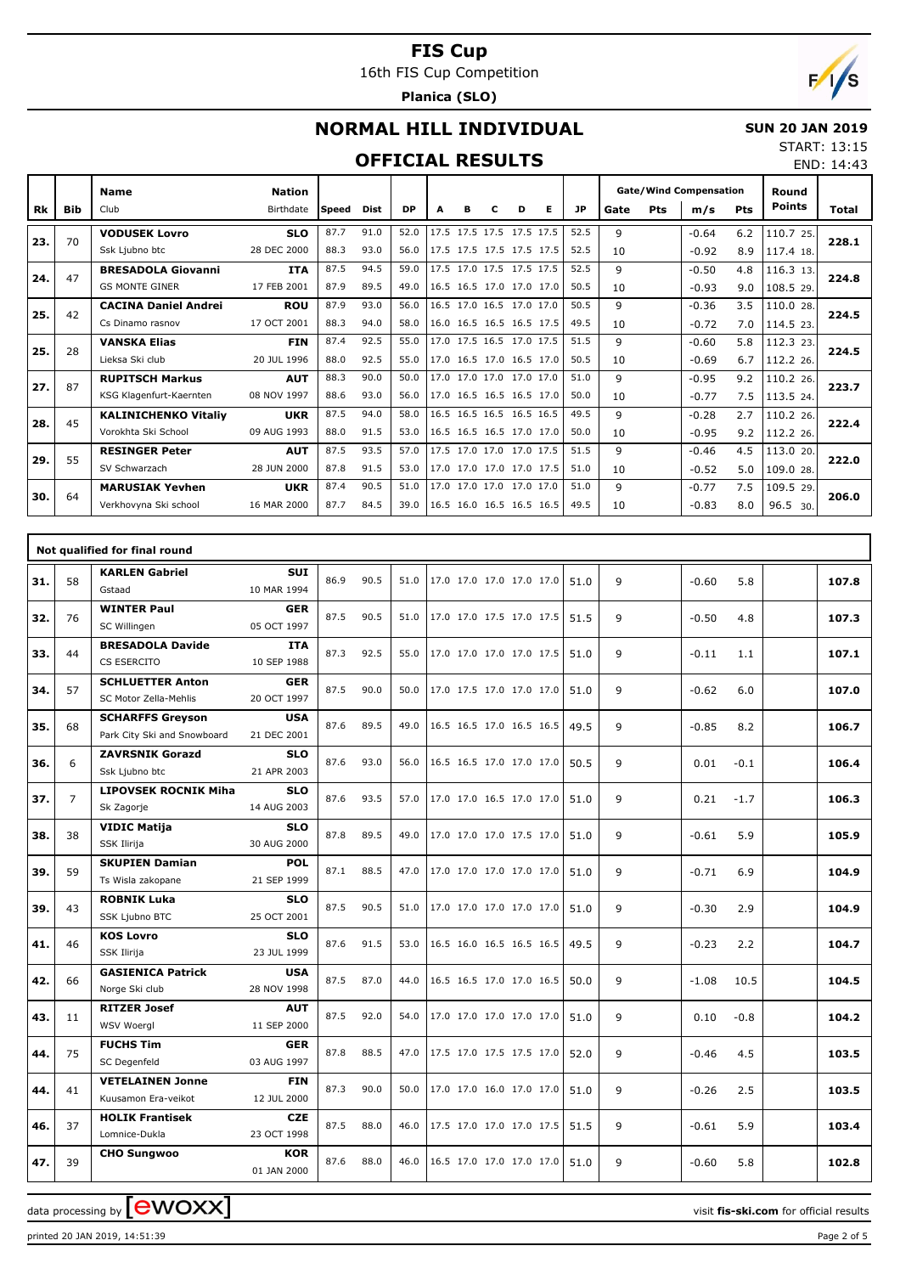16th FIS Cup Competition

**Planica (SLO)**



END: 14:43

# **NORMAL HILL INDIVIDUAL**

#### **SUN 20 JAN 2019** START: 13:15

#### **OFFICIAL RESULTS**

|           |            | <b>Name</b>                 | <b>Nation</b> |              |      |           |                          |   |                          |   |   |      | <b>Gate/Wind Compensation</b> |     |         |     | Round         |       |
|-----------|------------|-----------------------------|---------------|--------------|------|-----------|--------------------------|---|--------------------------|---|---|------|-------------------------------|-----|---------|-----|---------------|-------|
| <b>Rk</b> | <b>Bib</b> | Club                        | Birthdate     | <b>Speed</b> | Dist | <b>DP</b> | A                        | в | с                        | D | Е | JP.  | Gate                          | Pts | m/s     | Pts | <b>Points</b> | Total |
| 23.       | 70         | <b>VODUSEK Lovro</b>        | <b>SLO</b>    | 87.7         | 91.0 | 52.0      | 17.5                     |   | 17.5 17.5 17.5 17.5      |   |   | 52.5 | $\mathsf{Q}$                  |     | $-0.64$ | 6.2 | 110.7 25.     | 228.1 |
|           |            | Ssk Liubno btc              | 28 DEC 2000   | 88.3         | 93.0 | 56.0      | 17.5 17.5 17.5 17.5 17.5 |   |                          |   |   | 52.5 | 10                            |     | $-0.92$ | 8.9 | 117.4 18.     |       |
| 24.       | 47         | <b>BRESADOLA Giovanni</b>   | <b>ITA</b>    | 87.5         | 94.5 | 59.0      |                          |   | 17.5 17.0 17.5 17.5 17.5 |   |   | 52.5 | q                             |     | $-0.50$ | 4.8 | 116.3 13.     | 224.8 |
|           |            | <b>GS MONTE GINER</b>       | 17 FEB 2001   | 87.9         | 89.5 | 49.0      | 16.5 16.5 17.0 17.0 17.0 |   |                          |   |   | 50.5 | 10                            |     | $-0.93$ | 9.0 | 108.5 29.     |       |
| 25.       | 42         | <b>CACINA Daniel Andrei</b> | <b>ROU</b>    | 87.9         | 93.0 | 56.0      |                          |   | 16.5 17.0 16.5 17.0 17.0 |   |   | 50.5 | $\mathsf{Q}$                  |     | $-0.36$ | 3.5 | 110.0 28.     | 224.5 |
|           |            | Cs Dinamo rasnov            | 17 OCT 2001   | 88.3         | 94.0 | 58.0      |                          |   | 16.0 16.5 16.5 16.5 17.5 |   |   | 49.5 | 10                            |     | $-0.72$ | 7.0 | 114.5 23.     |       |
| 25.       | 28         | <b>VANSKA Elias</b>         | <b>FIN</b>    | 87.4         | 92.5 | 55.0      |                          |   | 17.0 17.5 16.5 17.0 17.5 |   |   | 51.5 | $\mathsf q$                   |     | $-0.60$ | 5.8 | 112.3 23.     | 224.5 |
|           |            | Lieksa Ski club             | 20 JUL 1996   | 88.0         | 92.5 | 55.0      | 17.0 16.5 17.0 16.5 17.0 |   |                          |   |   | 50.5 | 10                            |     | $-0.69$ | 6.7 | 112.2 26.     |       |
| 27.       | 87         | <b>RUPITSCH Markus</b>      | <b>AUT</b>    | 88.3         | 90.0 | 50.0      |                          |   | 17.0 17.0 17.0 17.0 17.0 |   |   | 51.0 | $\mathsf q$                   |     | $-0.95$ | 9.2 | 110.2 26.     | 223.7 |
|           |            | KSG Klagenfurt-Kaernten     | 08 NOV 1997   | 88.6         | 93.0 | 56.0      | 17.0 16.5 16.5 16.5 17.0 |   |                          |   |   | 50.0 | 10                            |     | $-0.77$ | 7.5 | 113.5 24.     |       |
| 28.       | 45         | <b>KALINICHENKO Vitaliy</b> | <b>UKR</b>    | 87.5         | 94.0 | 58.0      |                          |   | 16.5 16.5 16.5 16.5 16.5 |   |   | 49.5 | $\mathsf q$                   |     | $-0.28$ | 2.7 | 110.2 26.     | 222.4 |
|           |            | Vorokhta Ski School         | 09 AUG 1993   | 88.0         | 91.5 | 53.0      | 16.5 16.5 16.5 17.0 17.0 |   |                          |   |   | 50.0 | 10                            |     | $-0.95$ | 9.2 | 112.2 26.     |       |
| 29.       | 55         | <b>RESINGER Peter</b>       | <b>AUT</b>    | 87.5         | 93.5 | 57.0      |                          |   | 17.5 17.0 17.0 17.0 17.5 |   |   | 51.5 | 9                             |     | $-0.46$ | 4.5 | 113.0 20.     | 222.0 |
|           |            | SV Schwarzach               | 28 JUN 2000   | 87.8         | 91.5 | 53.0      | 17.0 17.0 17.0 17.0 17.5 |   |                          |   |   | 51.0 | 10                            |     | $-0.52$ | 5.0 | 109.0 28.     |       |
| 30.       | 64         | <b>MARUSIAK Yevhen</b>      | <b>UKR</b>    | 87.4         | 90.5 | 51.0      |                          |   | 17.0 17.0 17.0 17.0 17.0 |   |   | 51.0 | $\mathsf q$                   |     | $-0.77$ | 7.5 | 109.5 29.     | 206.0 |
|           |            | Verkhovyna Ski school       | 16 MAR 2000   | 87.7         | 84.5 | 39.0      | 16.5 16.0 16.5 16.5 16.5 |   |                          |   |   | 49.5 | 10                            |     | $-0.83$ | 8.0 | 96.5 30.      |       |

|     |                | Not qualified for final round                          |                           |      |      |      |                          |      |   |                 |       |
|-----|----------------|--------------------------------------------------------|---------------------------|------|------|------|--------------------------|------|---|-----------------|-------|
| 31. | 58             | <b>KARLEN Gabriel</b><br>Gstaad                        | <b>SUI</b><br>10 MAR 1994 | 86.9 | 90.5 | 51.0 | 17.0 17.0 17.0 17.0 17.0 | 51.0 | 9 | $-0.60$<br>5.8  | 107.8 |
| 32. | 76             | <b>WINTER Paul</b><br>SC Willingen                     | <b>GER</b><br>05 OCT 1997 | 87.5 | 90.5 | 51.0 | 17.0 17.0 17.5 17.0 17.5 | 51.5 | 9 | $-0.50$<br>4.8  | 107.3 |
| 33. | 44             | <b>BRESADOLA Davide</b><br>CS ESERCITO                 | <b>ITA</b><br>10 SEP 1988 | 87.3 | 92.5 | 55.0 | 17.0 17.0 17.0 17.0 17.5 | 51.0 | 9 | $-0.11$<br>1.1  | 107.1 |
| 34. | 57             | <b>SCHLUETTER Anton</b><br>SC Motor Zella-Mehlis       | <b>GER</b><br>20 OCT 1997 | 87.5 | 90.0 | 50.0 | 17.0 17.5 17.0 17.0 17.0 | 51.0 | 9 | $-0.62$<br>6.0  | 107.0 |
| 35. | 68             | <b>SCHARFFS Greyson</b><br>Park City Ski and Snowboard | <b>USA</b><br>21 DEC 2001 | 87.6 | 89.5 | 49.0 | 16.5 16.5 17.0 16.5 16.5 | 49.5 | 9 | $-0.85$<br>8.2  | 106.7 |
| 36. | 6              | <b>ZAVRSNIK Gorazd</b><br>Ssk Ljubno btc               | <b>SLO</b><br>21 APR 2003 | 87.6 | 93.0 | 56.0 | 16.5 16.5 17.0 17.0 17.0 | 50.5 | 9 | 0.01<br>$-0.1$  | 106.4 |
| 37. | $\overline{7}$ | <b>LIPOVSEK ROCNIK Miha</b><br>Sk Zagorje              | <b>SLO</b><br>14 AUG 2003 | 87.6 | 93.5 | 57.0 | 17.0 17.0 16.5 17.0 17.0 | 51.0 | 9 | 0.21<br>$-1.7$  | 106.3 |
| 38. | 38             | <b>VIDIC Matija</b><br>SSK Ilirija                     | <b>SLO</b><br>30 AUG 2000 | 87.8 | 89.5 | 49.0 | 17.0 17.0 17.0 17.5 17.0 | 51.0 | 9 | $-0.61$<br>5.9  | 105.9 |
| 39. | 59             | <b>SKUPIEN Damian</b><br>Ts Wisla zakopane             | POL<br>21 SEP 1999        | 87.1 | 88.5 | 47.0 | 17.0 17.0 17.0 17.0 17.0 | 51.0 | 9 | $-0.71$<br>6.9  | 104.9 |
| 39. | 43             | <b>ROBNIK Luka</b><br>SSK Ljubno BTC                   | <b>SLO</b><br>25 OCT 2001 | 87.5 | 90.5 | 51.0 | 17.0 17.0 17.0 17.0 17.0 | 51.0 | 9 | 2.9<br>$-0.30$  | 104.9 |
| 41. | 46             | <b>KOS Lovro</b><br>SSK Ilirija                        | <b>SLO</b><br>23 JUL 1999 | 87.6 | 91.5 | 53.0 | 16.5 16.0 16.5 16.5 16.5 | 49.5 | 9 | $-0.23$<br>2.2  | 104.7 |
| 42. | 66             | <b>GASIENICA Patrick</b><br>Norge Ski club             | <b>USA</b><br>28 NOV 1998 | 87.5 | 87.0 | 44.0 | 16.5 16.5 17.0 17.0 16.5 | 50.0 | 9 | 10.5<br>$-1.08$ | 104.5 |
| 43. | 11             | <b>RITZER Josef</b><br><b>WSV Woergl</b>               | <b>AUT</b><br>11 SEP 2000 | 87.5 | 92.0 | 54.0 | 17.0 17.0 17.0 17.0 17.0 | 51.0 | 9 | $-0.8$<br>0.10  | 104.2 |
| 44. | 75             | <b>FUCHS Tim</b><br>SC Degenfeld                       | <b>GER</b><br>03 AUG 1997 | 87.8 | 88.5 | 47.0 | 17.5 17.0 17.5 17.5 17.0 | 52.0 | 9 | 4.5<br>$-0.46$  | 103.5 |
| 44. | 41             | <b>VETELAINEN Jonne</b><br>Kuusamon Era-veikot         | <b>FIN</b><br>12 JUL 2000 | 87.3 | 90.0 | 50.0 | 17.0 17.0 16.0 17.0 17.0 | 51.0 | 9 | $-0.26$<br>2.5  | 103.5 |
| 46. | 37             | <b>HOLIK Frantisek</b><br>Lomnice-Dukla                | <b>CZE</b><br>23 OCT 1998 | 87.5 | 88.0 | 46.0 | 17.5 17.0 17.0 17.0 17.5 | 51.5 | 9 | 5.9<br>$-0.61$  | 103.4 |
| 47. | 39             | <b>CHO Sungwoo</b>                                     | <b>KOR</b><br>01 JAN 2000 | 87.6 | 88.0 | 46.0 | 16.5 17.0 17.0 17.0 17.0 | 51.0 | 9 | $-0.60$<br>5.8  | 102.8 |

data processing by **CWOXX**  $\blacksquare$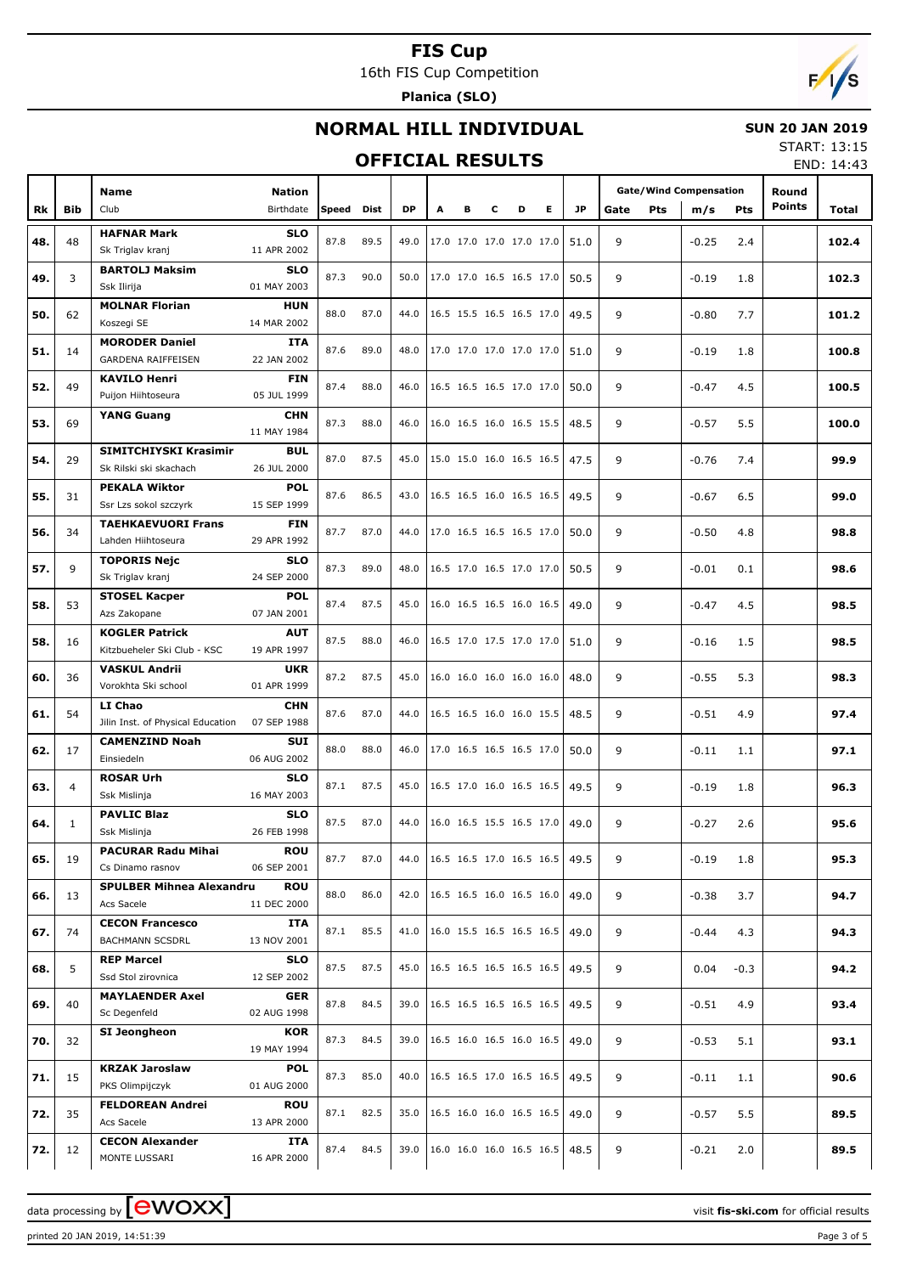16th FIS Cup Competition

**Planica (SLO)**



#### **NORMAL HILL INDIVIDUAL**

#### **SUN 20 JAN 2019**

### **OFFICIAL RESULTS**

START: 13:15 END: 14:43

|     |            |                                   |             |       |      |           |                          |   |   |                          |                                                                |      |      |            |                               |            |               | LIND. 17.7J |
|-----|------------|-----------------------------------|-------------|-------|------|-----------|--------------------------|---|---|--------------------------|----------------------------------------------------------------|------|------|------------|-------------------------------|------------|---------------|-------------|
|     |            |                                   |             |       |      |           |                          |   |   |                          |                                                                |      |      |            | <b>Gate/Wind Compensation</b> |            | Round         |             |
|     |            | Name                              | Nation      |       |      |           |                          |   |   |                          |                                                                |      |      |            |                               |            | <b>Points</b> |             |
| Rk  | <b>Bib</b> | Club                              | Birthdate   | Speed | Dist | <b>DP</b> | A                        | в | c | D                        | Е                                                              | JP   | Gate | <b>Pts</b> | m/s                           | <b>Pts</b> |               | Total       |
|     |            | <b>HAFNAR Mark</b>                | <b>SLO</b>  |       |      |           |                          |   |   |                          |                                                                |      |      |            |                               |            |               |             |
| 48. | 48         | Sk Triglav kranj                  | 11 APR 2002 | 87.8  | 89.5 | 49.0      |                          |   |   | 17.0 17.0 17.0 17.0 17.0 |                                                                | 51.0 | 9    |            | $-0.25$                       | 2.4        |               | 102.4       |
|     |            | <b>BARTOLJ Maksim</b>             | <b>SLO</b>  |       |      |           |                          |   |   |                          |                                                                |      |      |            |                               |            |               |             |
| 49. | 3          | Ssk Ilirija                       | 01 MAY 2003 | 87.3  | 90.0 | 50.0      | 17.0 17.0 16.5 16.5 17.0 |   |   |                          |                                                                | 50.5 | 9    |            | $-0.19$                       | 1.8        |               | 102.3       |
|     |            |                                   |             |       |      |           |                          |   |   |                          |                                                                |      |      |            |                               |            |               |             |
| 50. | 62         | <b>MOLNAR Florian</b>             | <b>HUN</b>  | 88.0  | 87.0 | 44.0      |                          |   |   | 16.5 15.5 16.5 16.5 17.0 |                                                                | 49.5 | 9    |            | $-0.80$                       | 7.7        |               | 101.2       |
|     |            | Koszegi SE                        | 14 MAR 2002 |       |      |           |                          |   |   |                          |                                                                |      |      |            |                               |            |               |             |
| 51. | 14         | <b>MORODER Daniel</b>             | <b>ITA</b>  | 87.6  | 89.0 | 48.0      | 17.0 17.0 17.0 17.0 17.0 |   |   |                          |                                                                | 51.0 | 9    |            | $-0.19$                       | 1.8        |               | 100.8       |
|     |            | GARDENA RAIFFEISEN                | 22 JAN 2002 |       |      |           |                          |   |   |                          |                                                                |      |      |            |                               |            |               |             |
|     |            | <b>KAVILO Henri</b>               | <b>FIN</b>  |       |      |           |                          |   |   |                          |                                                                |      |      |            |                               |            |               |             |
| 52. | 49         | Puijon Hiihtoseura                | 05 JUL 1999 | 87.4  | 88.0 | 46.0      |                          |   |   | 16.5 16.5 16.5 17.0 17.0 |                                                                | 50.0 | 9    |            | $-0.47$                       | 4.5        |               | 100.5       |
|     |            | <b>YANG Guang</b>                 | <b>CHN</b>  |       |      |           |                          |   |   |                          |                                                                |      |      |            |                               |            |               |             |
| 53. | 69         |                                   | 11 MAY 1984 | 87.3  | 88.0 | 46.0      |                          |   |   | 16.0 16.5 16.0 16.5 15.5 |                                                                | 48.5 | 9    |            | $-0.57$                       | 5.5        |               | 100.0       |
|     |            |                                   |             |       |      |           |                          |   |   |                          |                                                                |      |      |            |                               |            |               |             |
| 54. | 29         | SIMITCHIYSKI Krasimir             | <b>BUL</b>  | 87.0  | 87.5 | 45.0      |                          |   |   | 15.0 15.0 16.0 16.5 16.5 |                                                                | 47.5 | 9    |            | $-0.76$                       | 7.4        |               | 99.9        |
|     |            | Sk Rilski ski skachach            | 26 JUL 2000 |       |      |           |                          |   |   |                          |                                                                |      |      |            |                               |            |               |             |
| 55. | 31         | <b>PEKALA Wiktor</b>              | <b>POL</b>  | 87.6  | 86.5 | 43.0      |                          |   |   | 16.5 16.5 16.0 16.5 16.5 |                                                                | 49.5 | 9    |            | $-0.67$                       | 6.5        |               | 99.0        |
|     |            | Ssr Lzs sokol szczyrk             | 15 SEP 1999 |       |      |           |                          |   |   |                          |                                                                |      |      |            |                               |            |               |             |
|     |            | <b>TAEHKAEVUORI Frans</b>         | <b>FIN</b>  | 87.7  | 87.0 | 44.0      |                          |   |   | 17.0 16.5 16.5 16.5 17.0 |                                                                |      | 9    |            |                               |            |               |             |
| 56. | 34         | Lahden Hiihtoseura                | 29 APR 1992 |       |      |           |                          |   |   |                          |                                                                | 50.0 |      |            | $-0.50$                       | 4.8        |               | 98.8        |
|     |            | <b>TOPORIS Nejc</b>               | <b>SLO</b>  |       |      |           |                          |   |   |                          |                                                                |      |      |            |                               |            |               |             |
| 57. | 9          | Sk Triglav kranj                  | 24 SEP 2000 | 87.3  | 89.0 | 48.0      |                          |   |   | 16.5 17.0 16.5 17.0 17.0 |                                                                | 50.5 | 9    |            | $-0.01$                       | 0.1        |               | 98.6        |
|     |            | <b>STOSEL Kacper</b>              | <b>POL</b>  |       |      |           |                          |   |   |                          |                                                                |      |      |            |                               |            |               |             |
| 58. | 53         |                                   |             | 87.4  | 87.5 | 45.0      |                          |   |   | 16.0 16.5 16.5 16.0 16.5 |                                                                | 49.0 | 9    |            | $-0.47$                       | 4.5        |               | 98.5        |
|     |            | Azs Zakopane                      | 07 JAN 2001 |       |      |           |                          |   |   |                          |                                                                |      |      |            |                               |            |               |             |
| 58. | 16         | <b>KOGLER Patrick</b>             | <b>AUT</b>  | 87.5  | 88.0 | 46.0      |                          |   |   | 16.5 17.0 17.5 17.0 17.0 |                                                                | 51.0 | 9    |            | $-0.16$                       | 1.5        |               | 98.5        |
|     |            | Kitzbueheler Ski Club - KSC       | 19 APR 1997 |       |      |           |                          |   |   |                          |                                                                |      |      |            |                               |            |               |             |
| 60. | 36         | <b>VASKUL Andrii</b>              | <b>UKR</b>  | 87.2  | 87.5 | 45.0      |                          |   |   | 16.0 16.0 16.0 16.0 16.0 |                                                                | 48.0 | 9    |            | $-0.55$                       | 5.3        |               | 98.3        |
|     |            | Vorokhta Ski school               | 01 APR 1999 |       |      |           |                          |   |   |                          |                                                                |      |      |            |                               |            |               |             |
|     |            | LI Chao                           | <b>CHN</b>  |       |      |           |                          |   |   |                          |                                                                |      |      |            |                               |            |               |             |
| 61. | 54         | Jilin Inst. of Physical Education | 07 SEP 1988 | 87.6  | 87.0 | 44.0      |                          |   |   | 16.5 16.5 16.0 16.0 15.5 |                                                                | 48.5 | 9    |            | $-0.51$                       | 4.9        |               | 97.4        |
|     |            | <b>CAMENZIND Noah</b>             | <b>SUI</b>  |       |      |           |                          |   |   |                          |                                                                |      |      |            |                               |            |               |             |
| 62. | 17         | Einsiedeln                        | 06 AUG 2002 | 88.0  | 88.0 | 46.0      |                          |   |   | 17.0 16.5 16.5 16.5 17.0 |                                                                | 50.0 | 9    |            | $-0.11$                       | 1.1        |               | 97.1        |
|     |            |                                   |             |       |      |           |                          |   |   |                          |                                                                |      |      |            |                               |            |               |             |
| 63. | 4          | <b>ROSAR Urh</b>                  | <b>SLO</b>  | 87.1  | 87.5 | 45.0      |                          |   |   |                          | 16.5 17.0 16.0 16.5 16.5                                       | 49.5 | 9    |            | $-0.19$                       | 1.8        |               | 96.3        |
|     |            | Ssk Mislinja                      | 16 MAY 2003 |       |      |           |                          |   |   |                          |                                                                |      |      |            |                               |            |               |             |
| 64. | 1          | <b>PAVLIC Blaz</b>                | <b>SLO</b>  | 87.5  | 87.0 | 44.0      |                          |   |   |                          | 16.0 16.5 15.5 16.5 17.0                                       | 49.0 | 9    |            | $-0.27$                       | 2.6        |               | 95.6        |
|     |            | Ssk Mislinja                      | 26 FEB 1998 |       |      |           |                          |   |   |                          |                                                                |      |      |            |                               |            |               |             |
|     |            | <b>PACURAR Radu Mihai</b>         | <b>ROU</b>  |       |      |           |                          |   |   |                          | $16.5$ 16.5 17.0 16.5 16.5                                     |      |      |            |                               |            |               |             |
| 65. | 19         | Cs Dinamo rasnov                  | 06 SEP 2001 | 87.7  | 87.0 | 44.0      |                          |   |   |                          |                                                                | 49.5 | 9    |            | $-0.19$                       | 1.8        |               | 95.3        |
|     |            | <b>SPULBER Mihnea Alexandru</b>   | <b>ROU</b>  |       |      |           |                          |   |   |                          |                                                                |      |      |            |                               |            |               |             |
| 66. | 13         | Acs Sacele                        | 11 DEC 2000 | 88.0  | 86.0 | 42.0      |                          |   |   |                          | $\vert 16.5 \vert 16.5 \vert 16.0 \vert 16.5 \vert 16.0 \vert$ | 49.0 | 9    |            | $-0.38$                       | 3.7        |               | 94.7        |
|     |            | <b>CECON Francesco</b>            | ITA         |       |      |           |                          |   |   |                          |                                                                |      |      |            |                               |            |               |             |
| 67. | 74         | <b>BACHMANN SCSDRL</b>            | 13 NOV 2001 | 87.1  | 85.5 | 41.0      |                          |   |   |                          | 16.0 15.5 16.5 16.5 16.5                                       | 49.0 | 9    |            | $-0.44$                       | 4.3        |               | 94.3        |
|     |            |                                   |             |       |      |           |                          |   |   |                          |                                                                |      |      |            |                               |            |               |             |
| 68. | 5          | <b>REP Marcel</b>                 | <b>SLO</b>  | 87.5  | 87.5 | 45.0      |                          |   |   |                          | $16.5$ 16.5 16.5 16.5 16.5                                     | 49.5 | 9    |            | 0.04                          | $-0.3$     |               | 94.2        |
|     |            | Ssd Stol zirovnica                | 12 SEP 2002 |       |      |           |                          |   |   |                          |                                                                |      |      |            |                               |            |               |             |
| 69. | 40         | <b>MAYLAENDER Axel</b>            | GER         | 87.8  | 84.5 | 39.0      |                          |   |   |                          | $16.5$ 16.5 16.5 16.5 16.5                                     | 49.5 | 9    |            | $-0.51$                       | 4.9        |               | 93.4        |
|     |            | Sc Degenfeld                      | 02 AUG 1998 |       |      |           |                          |   |   |                          |                                                                |      |      |            |                               |            |               |             |
|     |            | SI Jeongheon                      | <b>KOR</b>  |       |      |           |                          |   |   |                          |                                                                |      |      |            |                               |            |               |             |
| 70. | 32         |                                   | 19 MAY 1994 | 87.3  | 84.5 | 39.0      |                          |   |   |                          | $16.5$ 16.0 16.5 16.0 16.5                                     | 49.0 | 9    |            | $-0.53$                       | 5.1        |               | 93.1        |
|     |            | <b>KRZAK Jaroslaw</b>             | <b>POL</b>  |       |      |           |                          |   |   |                          |                                                                |      |      |            |                               |            |               |             |
| 71. | 15         | PKS Olimpijczyk                   | 01 AUG 2000 | 87.3  | 85.0 | 40.0      |                          |   |   |                          | $\vert 16.5 \vert 16.5 \vert 17.0 \vert 16.5 \vert 16.5 \vert$ | 49.5 | 9    |            | $-0.11$                       | 1.1        |               | 90.6        |
|     |            | <b>FELDOREAN Andrei</b>           | <b>ROU</b>  |       |      |           |                          |   |   |                          |                                                                |      |      |            |                               |            |               |             |
| 72. | 35         |                                   |             | 87.1  | 82.5 | 35.0      |                          |   |   |                          | 16.5 16.0 16.0 16.5 16.5                                       | 49.0 | 9    |            | $-0.57$                       | 5.5        |               | 89.5        |
|     |            | Acs Sacele                        | 13 APR 2000 |       |      |           |                          |   |   |                          |                                                                |      |      |            |                               |            |               |             |
| 72. | 12         | <b>CECON Alexander</b>            | ITA         | 87.4  | 84.5 | 39.0      |                          |   |   |                          | $ 16.0 \t16.0 \t16.0 \t16.5 \t16.5 $                           | 48.5 | 9    |            | $-0.21$                       | 2.0        |               | 89.5        |
|     |            | MONTE LUSSARI                     | 16 APR 2000 |       |      |           |                          |   |   |                          |                                                                |      |      |            |                               |            |               |             |

printed 20 JAN 2019, 14:51:39 Page 3 of 5

data processing by **CWOXX**  $\blacksquare$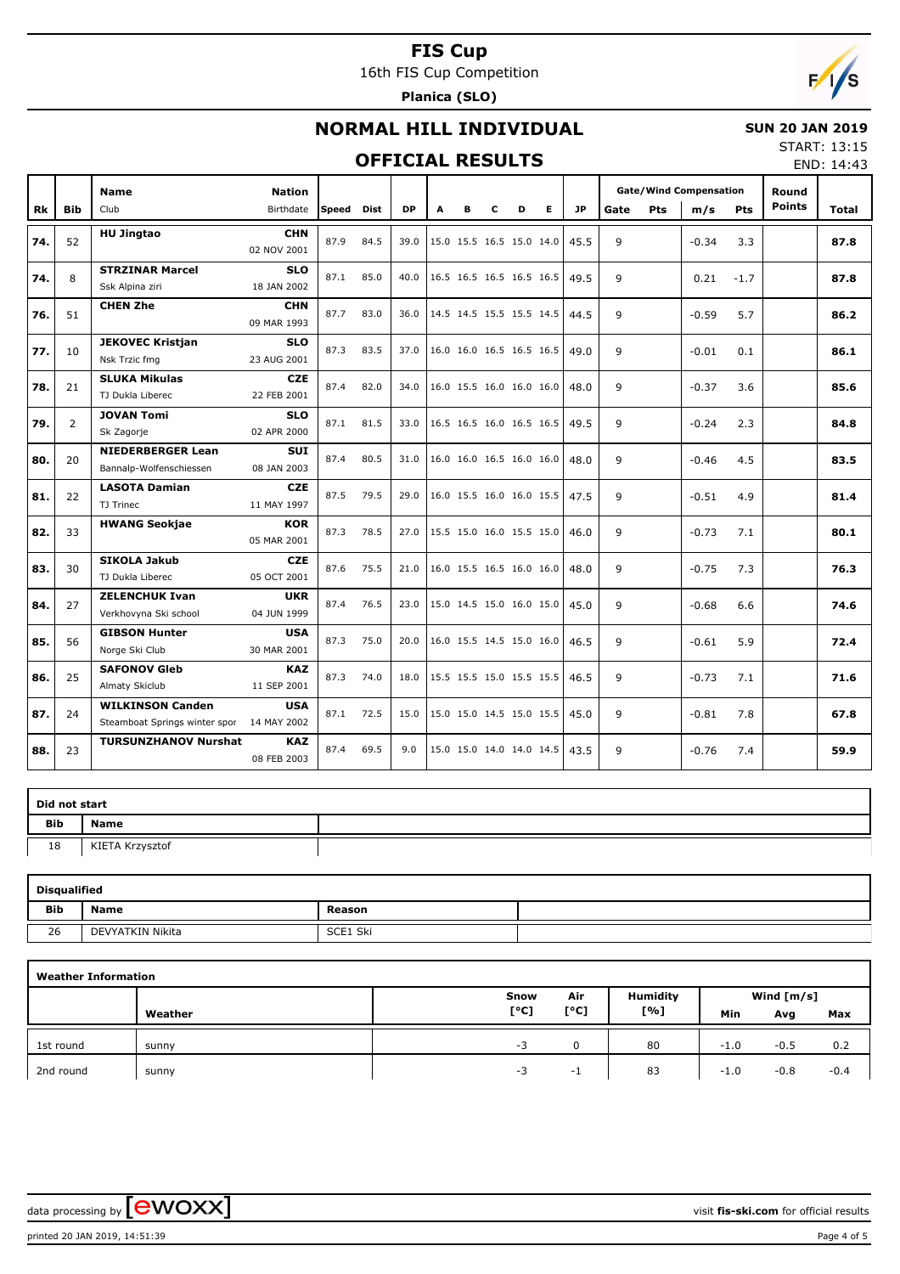16th FIS Cup Competition

**Planica (SLO)**



# **NORMAL HILL INDIVIDUAL**

#### **SUN 20 JAN 2019**

#### **OFFICIAL RESULTS**

START: 13:15 END: 14:43

|           |                |                                                          |                           |       |      |           |   |                          |   |   |   |           |      |     |                               |            |               | -------- |
|-----------|----------------|----------------------------------------------------------|---------------------------|-------|------|-----------|---|--------------------------|---|---|---|-----------|------|-----|-------------------------------|------------|---------------|----------|
|           |                | <b>Name</b>                                              | <b>Nation</b>             |       |      |           |   |                          |   |   |   |           |      |     | <b>Gate/Wind Compensation</b> |            | Round         |          |
| <b>Rk</b> | <b>Bib</b>     | Club                                                     | Birthdate                 | Speed | Dist | <b>DP</b> | A | в                        | C | D | Е | <b>JP</b> | Gate | Pts | m/s                           | <b>Pts</b> | <b>Points</b> | Total    |
| 74.       | 52             | <b>HU Jingtao</b>                                        | <b>CHN</b><br>02 NOV 2001 | 87.9  | 84.5 | 39.0      |   | 15.0 15.5 16.5 15.0 14.0 |   |   |   | 45.5      | 9    |     | $-0.34$                       | 3.3        |               | 87.8     |
| 74.       | 8              | <b>STRZINAR Marcel</b><br>Ssk Alpina ziri                | <b>SLO</b><br>18 JAN 2002 | 87.1  | 85.0 | 40.0      |   | 16.5 16.5 16.5 16.5 16.5 |   |   |   | 49.5      | 9    |     | 0.21                          | $-1.7$     |               | 87.8     |
| 76.       | 51             | <b>CHEN Zhe</b>                                          | <b>CHN</b><br>09 MAR 1993 | 87.7  | 83.0 | 36.0      |   | 14.5 14.5 15.5 15.5 14.5 |   |   |   | 44.5      | 9    |     | $-0.59$                       | 5.7        |               | 86.2     |
| 77.       | 10             | <b>JEKOVEC Kristjan</b><br>Nsk Trzic fmg                 | <b>SLO</b><br>23 AUG 2001 | 87.3  | 83.5 | 37.0      |   | 16.0 16.0 16.5 16.5 16.5 |   |   |   | 49.0      | 9    |     | $-0.01$                       | 0.1        |               | 86.1     |
| 78.       | 21             | <b>SLUKA Mikulas</b><br>TJ Dukla Liberec                 | <b>CZE</b><br>22 FEB 2001 | 87.4  | 82.0 | 34.0      |   | 16.0 15.5 16.0 16.0 16.0 |   |   |   | 48.0      | 9    |     | $-0.37$                       | 3.6        |               | 85.6     |
| 79.       | $\overline{2}$ | <b>JOVAN Tomi</b><br>Sk Zagorje                          | <b>SLO</b><br>02 APR 2000 | 87.1  | 81.5 | 33.0      |   | 16.5 16.5 16.0 16.5 16.5 |   |   |   | 49.5      | 9    |     | $-0.24$                       | 2.3        |               | 84.8     |
| 80.       | 20             | <b>NIEDERBERGER Lean</b><br>Bannalp-Wolfenschiessen      | <b>SUI</b><br>08 JAN 2003 | 87.4  | 80.5 | 31.0      |   | 16.0 16.0 16.5 16.0 16.0 |   |   |   | 48.0      | 9    |     | $-0.46$                       | 4.5        |               | 83.5     |
| 81.       | 22             | <b>LASOTA Damian</b><br>TJ Trinec                        | <b>CZE</b><br>11 MAY 1997 | 87.5  | 79.5 | 29.0      |   | 16.0 15.5 16.0 16.0 15.5 |   |   |   | 47.5      | 9    |     | $-0.51$                       | 4.9        |               | 81.4     |
| 82.       | 33             | <b>HWANG Seokjae</b>                                     | <b>KOR</b><br>05 MAR 2001 | 87.3  | 78.5 | 27.0      |   | 15.5 15.0 16.0 15.5 15.0 |   |   |   | 46.0      | 9    |     | $-0.73$                       | 7.1        |               | 80.1     |
| 83.       | 30             | <b>SIKOLA Jakub</b><br>TJ Dukla Liberec                  | <b>CZE</b><br>05 OCT 2001 | 87.6  | 75.5 | 21.0      |   | 16.0 15.5 16.5 16.0 16.0 |   |   |   | 48.0      | 9    |     | $-0.75$                       | 7.3        |               | 76.3     |
| 84.       | 27             | <b>ZELENCHUK Ivan</b><br>Verkhovyna Ski school           | <b>UKR</b><br>04 JUN 1999 | 87.4  | 76.5 | 23.0      |   | 15.0 14.5 15.0 16.0 15.0 |   |   |   | 45.0      | 9    |     | $-0.68$                       | 6.6        |               | 74.6     |
| 85.       | 56             | <b>GIBSON Hunter</b><br>Norge Ski Club                   | <b>USA</b><br>30 MAR 2001 | 87.3  | 75.0 | 20.0      |   | 16.0 15.5 14.5 15.0 16.0 |   |   |   | 46.5      | 9    |     | $-0.61$                       | 5.9        |               | 72.4     |
| 86.       | 25             | <b>SAFONOV Gleb</b><br>Almaty Skiclub                    | <b>KAZ</b><br>11 SEP 2001 | 87.3  | 74.0 | 18.0      |   | 15.5 15.5 15.0 15.5 15.5 |   |   |   | 46.5      | 9    |     | $-0.73$                       | 7.1        |               | 71.6     |
| 87.       | 24             | <b>WILKINSON Canden</b><br>Steamboat Springs winter spor | <b>USA</b><br>14 MAY 2002 | 87.1  | 72.5 | 15.0      |   | 15.0 15.0 14.5 15.0 15.5 |   |   |   | 45.0      | 9    |     | $-0.81$                       | 7.8        |               | 67.8     |
| 88.       | 23             | <b>TURSUNZHANOV Nurshat</b>                              | <b>KAZ</b><br>08 FEB 2003 | 87.4  | 69.5 | 9.0       |   | 15.0 15.0 14.0 14.0 14.5 |   |   |   | 43.5      | 9    |     | $-0.76$                       | 7.4        |               | 59.9     |

| Did not start |                 |  |
|---------------|-----------------|--|
| Bib           | <b>Name</b>     |  |
| 18            | KIETA Krzysztof |  |

| <b>Disqualified</b> |                  |          |  |  |  |  |  |  |  |  |  |  |
|---------------------|------------------|----------|--|--|--|--|--|--|--|--|--|--|
| Bib                 | <b>Name</b>      | Reason   |  |  |  |  |  |  |  |  |  |  |
| 26                  | DEVYATKIN Nikita | SCE1 Ski |  |  |  |  |  |  |  |  |  |  |

| <b>Weather Information</b> |         |      |      |          |        |              |        |
|----------------------------|---------|------|------|----------|--------|--------------|--------|
|                            |         | Snow | Air  | Humidity |        | Wind $[m/s]$ |        |
|                            | Weather | [°C] | [°C] | [%]      | Min    | Avg          | Max    |
| 1st round                  | sunny   | -3   |      | 80       | $-1.0$ | $-0.5$       | 0.2    |
| 2nd round                  | sunny   | $-3$ | $-1$ | 83       | $-1.0$ | $-0.8$       | $-0.4$ |

data processing by **CWOXX**  $\blacksquare$ 

printed 20 JAN 2019, 14:51:39 Page 4 of 5